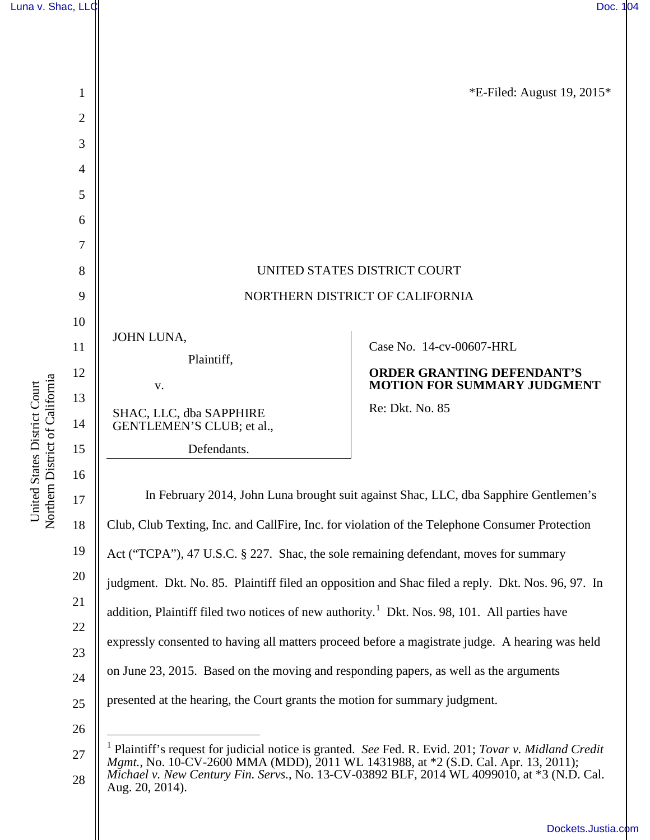



<span id="page-0-0"></span><sup>28</sup>  *Mgmt.*, No. 10-CV-2600 MMA (MDD), 2011 WL 1431988, at \*2 (S.D. Cal. Apr. 13, 2011); *Michael v. New Century Fin. Servs.*, No. 13-CV-03892 BLF, 2014 WL 4099010, at \*3 (N.D. Cal. Aug. 20, 2014).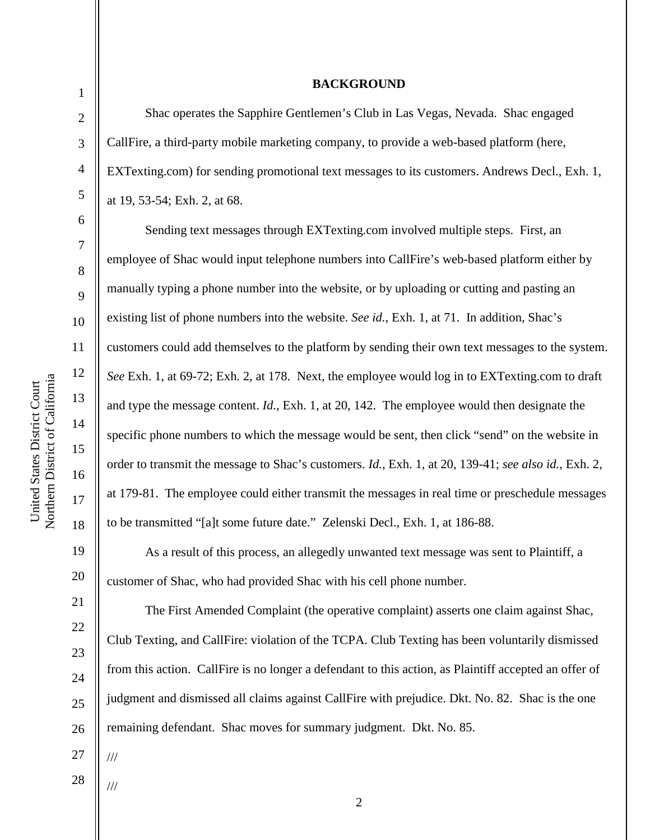2

3

4

5

6

7

8

9

10

11

12

13

14

15

16

17

18

19

20

21

22

23

24

25

26

## **BACKGROUND**

Shac operates the Sapphire Gentlemen's Club in Las Vegas, Nevada. Shac engaged CallFire, a third-party mobile marketing company, to provide a web-based platform (here, EXTexting.com) for sending promotional text messages to its customers. Andrews Decl., Exh. 1, at 19, 53-54; Exh. 2, at 68.

 Sending text messages through EXTexting.com involved multiple steps. First, an employee of Shac would input telephone numbers into CallFire's web-based platform either by manually typing a phone number into the website, or by uploading or cutting and pasting an existing list of phone numbers into the website. *See id.*, Exh. 1, at 71. In addition, Shac's customers could add themselves to the platform by sending their own text messages to the system. *See* Exh. 1, at 69-72; Exh. 2, at 178. Next, the employee would log in to EXTexting.com to draft and type the message content. *Id.*, Exh. 1, at 20, 142. The employee would then designate the specific phone numbers to which the message would be sent, then click "send" on the website in order to transmit the message to Shac's customers. *Id.*, Exh. 1, at 20, 139-41; *see also id.*, Exh. 2, at 179-81. The employee could either transmit the messages in real time or preschedule messages to be transmitted "[a]t some future date." Zelenski Decl., Exh. 1, at 186-88.

 As a result of this process, an allegedly unwanted text message was sent to Plaintiff, a customer of Shac, who had provided Shac with his cell phone number.

The First Amended Complaint (the operative complaint) asserts one claim against Shac, Club Texting, and CallFire: violation of the TCPA. Club Texting has been voluntarily dismissed from this action. CallFire is no longer a defendant to this action, as Plaintiff accepted an offer of judgment and dismissed all claims against CallFire with prejudice. Dkt. No. 82. Shac is the one remaining defendant. Shac moves for summary judgment. Dkt. No. 85.

27

///

///

28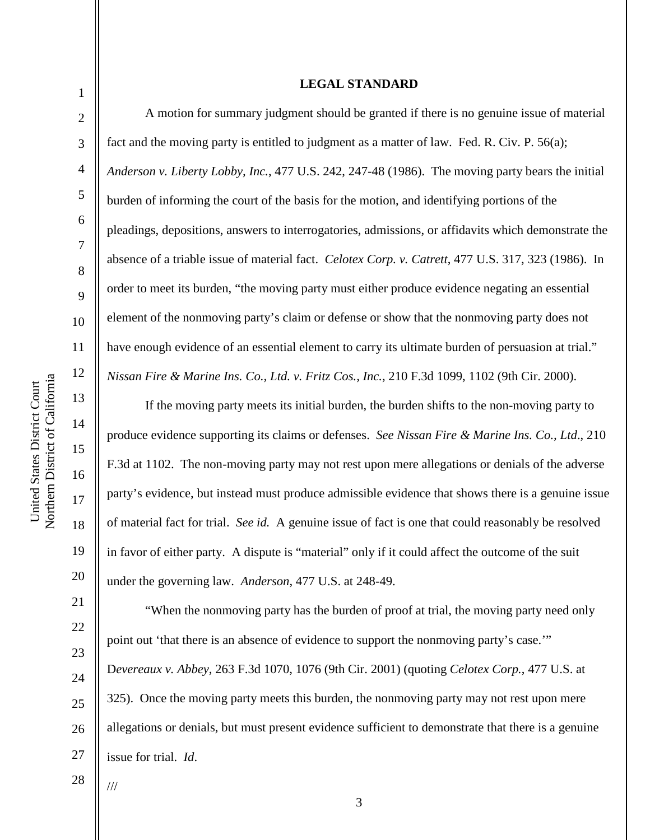## **LEGAL STANDARD**

1

2

3

4

5

6

7

8

9

10

11

12

13

14

15

16

17

18

19

20

21

22

23

24

25

26

27

 A motion for summary judgment should be granted if there is no genuine issue of material fact and the moving party is entitled to judgment as a matter of law. Fed. R. Civ. P. 56(a); *Anderson v. Liberty Lobby, Inc.*, 477 U.S. 242, 247-48 (1986). The moving party bears the initial burden of informing the court of the basis for the motion, and identifying portions of the pleadings, depositions, answers to interrogatories, admissions, or affidavits which demonstrate the absence of a triable issue of material fact. *Celotex Corp. v. Catrett*, 477 U.S. 317, 323 (1986). In order to meet its burden, "the moving party must either produce evidence negating an essential element of the nonmoving party's claim or defense or show that the nonmoving party does not have enough evidence of an essential element to carry its ultimate burden of persuasion at trial." *Nissan Fire & Marine Ins. Co., Ltd. v. Fritz Cos., Inc.*, 210 F.3d 1099, 1102 (9th Cir. 2000).

 If the moving party meets its initial burden, the burden shifts to the non-moving party to produce evidence supporting its claims or defenses. *See Nissan Fire & Marine Ins. Co., Ltd*., 210 F.3d at 1102. The non-moving party may not rest upon mere allegations or denials of the adverse party's evidence, but instead must produce admissible evidence that shows there is a genuine issue of material fact for trial. *See id.* A genuine issue of fact is one that could reasonably be resolved in favor of either party. A dispute is "material" only if it could affect the outcome of the suit under the governing law. *Anderson*, 477 U.S. at 248-49.

 "When the nonmoving party has the burden of proof at trial, the moving party need only point out 'that there is an absence of evidence to support the nonmoving party's case.'" D*evereaux v. Abbey*, 263 F.3d 1070, 1076 (9th Cir. 2001) (quoting *Celotex Corp.*, 477 U.S. at 325). Once the moving party meets this burden, the nonmoving party may not rest upon mere allegations or denials, but must present evidence sufficient to demonstrate that there is a genuine issue for trial. *Id*.

28

///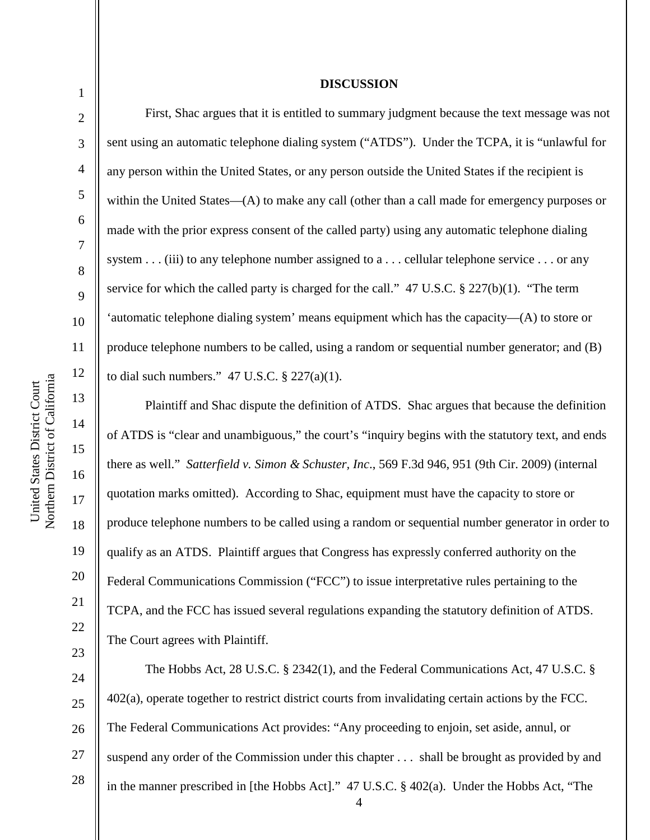United States District Court

United States District Court

1

2

3

4

5

6

7

8

9

18

19

20

21

22

23

## **DISCUSSION**

First, Shac argues that it is entitled to summary judgment because the text message was not sent using an automatic telephone dialing system ("ATDS"). Under the TCPA, it is "unlawful for any person within the United States, or any person outside the United States if the recipient is within the United States—(A) to make any call (other than a call made for emergency purposes or made with the prior express consent of the called party) using any automatic telephone dialing system . . . (iii) to any telephone number assigned to a . . . cellular telephone service . . . or any service for which the called party is charged for the call." 47 U.S.C. § 227(b)(1). "The term 'automatic telephone dialing system' means equipment which has the capacity—(A) to store or produce telephone numbers to be called, using a random or sequential number generator; and (B) to dial such numbers."  $47 \text{ U.S.C.} \$   $227(a)(1)$ .

Plaintiff and Shac dispute the definition of ATDS. Shac argues that because the definition of ATDS is "clear and unambiguous," the court's "inquiry begins with the statutory text, and ends there as well." *Satterfield v. Simon & Schuster, Inc*., 569 F.3d 946, 951 (9th Cir. 2009) (internal quotation marks omitted). According to Shac, equipment must have the capacity to store or produce telephone numbers to be called using a random or sequential number generator in order to qualify as an ATDS. Plaintiff argues that Congress has expressly conferred authority on the Federal Communications Commission ("FCC") to issue interpretative rules pertaining to the TCPA, and the FCC has issued several regulations expanding the statutory definition of ATDS. The Court agrees with Plaintiff.

24 25 26 27 28 The Hobbs Act, 28 U.S.C. § 2342(1), and the Federal Communications Act, 47 U.S.C. § 402(a), operate together to restrict district courts from invalidating certain actions by the FCC. The Federal Communications Act provides: "Any proceeding to enjoin, set aside, annul, or suspend any order of the Commission under this chapter . . . shall be brought as provided by and in the manner prescribed in [the Hobbs Act]." 47 U.S.C. § 402(a). Under the Hobbs Act, "The

4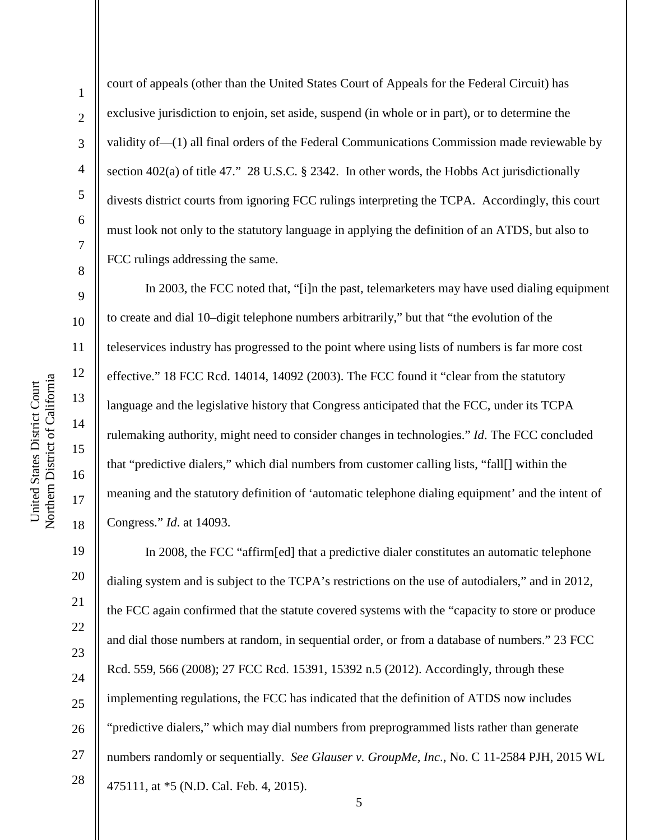2

3

4

5

6

7

8

9

10

11

12

13

14

15

16

17

18

court of appeals (other than the United States Court of Appeals for the Federal Circuit) has exclusive jurisdiction to enjoin, set aside, suspend (in whole or in part), or to determine the validity of—(1) all final orders of the Federal Communications Commission made reviewable by section 402(a) of title 47." 28 U.S.C. § 2342. In other words, the Hobbs Act jurisdictionally divests district courts from ignoring FCC rulings interpreting the TCPA. Accordingly, this court must look not only to the statutory language in applying the definition of an ATDS, but also to FCC rulings addressing the same.

In 2003, the FCC noted that, "[i]n the past, telemarketers may have used dialing equipment to create and dial 10–digit telephone numbers arbitrarily," but that "the evolution of the teleservices industry has progressed to the point where using lists of numbers is far more cost effective." 18 FCC Rcd. 14014, 14092 (2003). The FCC found it "clear from the statutory language and the legislative history that Congress anticipated that the FCC, under its TCPA rulemaking authority, might need to consider changes in technologies." *Id*. The FCC concluded that "predictive dialers," which dial numbers from customer calling lists, "fall[] within the meaning and the statutory definition of 'automatic telephone dialing equipment' and the intent of Congress." *Id*. at 14093.

19 20 21 22 23 24 25 26 27 28 In 2008, the FCC "affirm[ed] that a predictive dialer constitutes an automatic telephone dialing system and is subject to the TCPA's restrictions on the use of autodialers," and in 2012, the FCC again confirmed that the statute covered systems with the "capacity to store or produce and dial those numbers at random, in sequential order, or from a database of numbers." 23 FCC Rcd. 559, 566 (2008); 27 FCC Rcd. 15391, 15392 n.5 (2012). Accordingly, through these implementing regulations, the FCC has indicated that the definition of ATDS now includes "predictive dialers," which may dial numbers from preprogrammed lists rather than generate numbers randomly or sequentially. *See Glauser v. GroupMe, Inc*., No. C 11-2584 PJH, 2015 WL 475111, at \*5 (N.D. Cal. Feb. 4, 2015).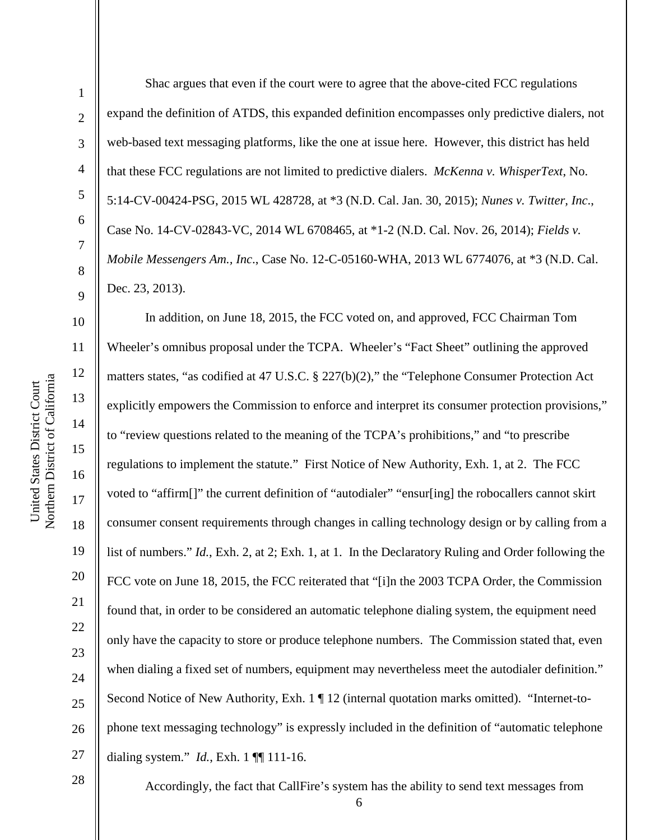2

3

4

5

6

7

8

9

11

12

13

15

17

18

19

21

24

25

Shac argues that even if the court were to agree that the above-cited FCC regulations expand the definition of ATDS, this expanded definition encompasses only predictive dialers, not web-based text messaging platforms, like the one at issue here. However, this district has held that these FCC regulations are not limited to predictive dialers. *McKenna v. WhisperText*, No. 5:14-CV-00424-PSG, 2015 WL 428728, at \*3 (N.D. Cal. Jan. 30, 2015); *Nunes v. Twitter, Inc*., Case No. 14-CV-02843-VC, 2014 WL 6708465, at \*1-2 (N.D. Cal. Nov. 26, 2014); *Fields v. Mobile Messengers Am., Inc*., Case No. 12-C-05160-WHA, 2013 WL 6774076, at \*3 (N.D. Cal. Dec. 23, 2013).

10 14 16 20 22 23 26 27 In addition, on June 18, 2015, the FCC voted on, and approved, FCC Chairman Tom Wheeler's omnibus proposal under the TCPA. Wheeler's "Fact Sheet" outlining the approved matters states, "as codified at 47 U.S.C. § 227(b)(2)," the "Telephone Consumer Protection Act explicitly empowers the Commission to enforce and interpret its consumer protection provisions," to "review questions related to the meaning of the TCPA's prohibitions," and "to prescribe regulations to implement the statute." First Notice of New Authority, Exh. 1, at 2. The FCC voted to "affirm[]" the current definition of "autodialer" "ensur[ing] the robocallers cannot skirt consumer consent requirements through changes in calling technology design or by calling from a list of numbers." *Id.*, Exh. 2, at 2; Exh. 1, at 1. In the Declaratory Ruling and Order following the FCC vote on June 18, 2015, the FCC reiterated that "[i]n the 2003 TCPA Order, the Commission found that, in order to be considered an automatic telephone dialing system, the equipment need only have the capacity to store or produce telephone numbers. The Commission stated that, even when dialing a fixed set of numbers, equipment may nevertheless meet the autodialer definition." Second Notice of New Authority, Exh. 1 ¶ 12 (internal quotation marks omitted). "Internet-tophone text messaging technology" is expressly included in the definition of "automatic telephone dialing system." *Id.*, Exh. 1 ¶¶ 111-16.

28

Accordingly, the fact that CallFire's system has the ability to send text messages from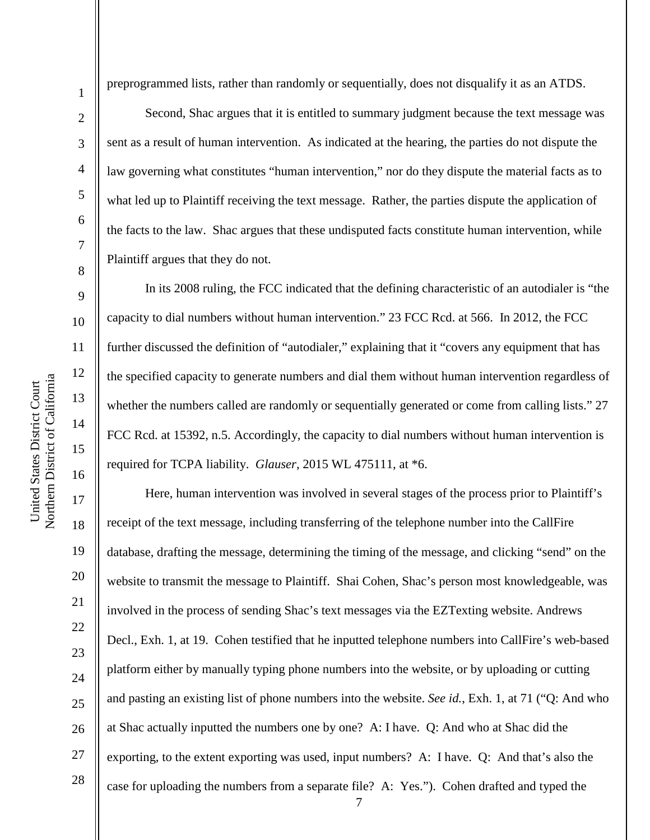2

3

4

5

6

7

8

9

10

11

12

13

14

15

16

17

18

19

21

23

24

25

27

28

preprogrammed lists, rather than randomly or sequentially, does not disqualify it as an ATDS.

Second, Shac argues that it is entitled to summary judgment because the text message was sent as a result of human intervention. As indicated at the hearing, the parties do not dispute the law governing what constitutes "human intervention," nor do they dispute the material facts as to what led up to Plaintiff receiving the text message. Rather, the parties dispute the application of the facts to the law. Shac argues that these undisputed facts constitute human intervention, while Plaintiff argues that they do not.

In its 2008 ruling, the FCC indicated that the defining characteristic of an autodialer is "the capacity to dial numbers without human intervention." 23 FCC Rcd. at 566. In 2012, the FCC further discussed the definition of "autodialer," explaining that it "covers any equipment that has the specified capacity to generate numbers and dial them without human intervention regardless of whether the numbers called are randomly or sequentially generated or come from calling lists." 27 FCC Rcd. at 15392, n.5. Accordingly, the capacity to dial numbers without human intervention is required for TCPA liability. *Glauser*, 2015 WL 475111, at \*6.

20 22 26 Here, human intervention was involved in several stages of the process prior to Plaintiff's receipt of the text message, including transferring of the telephone number into the CallFire database, drafting the message, determining the timing of the message, and clicking "send" on the website to transmit the message to Plaintiff. Shai Cohen, Shac's person most knowledgeable, was involved in the process of sending Shac's text messages via the EZTexting website. Andrews Decl., Exh. 1, at 19. Cohen testified that he inputted telephone numbers into CallFire's web-based platform either by manually typing phone numbers into the website, or by uploading or cutting and pasting an existing list of phone numbers into the website. *See id.*, Exh. 1, at 71 ("Q: And who at Shac actually inputted the numbers one by one? A: I have. Q: And who at Shac did the exporting, to the extent exporting was used, input numbers? A: I have. Q: And that's also the case for uploading the numbers from a separate file? A: Yes."). Cohen drafted and typed the

7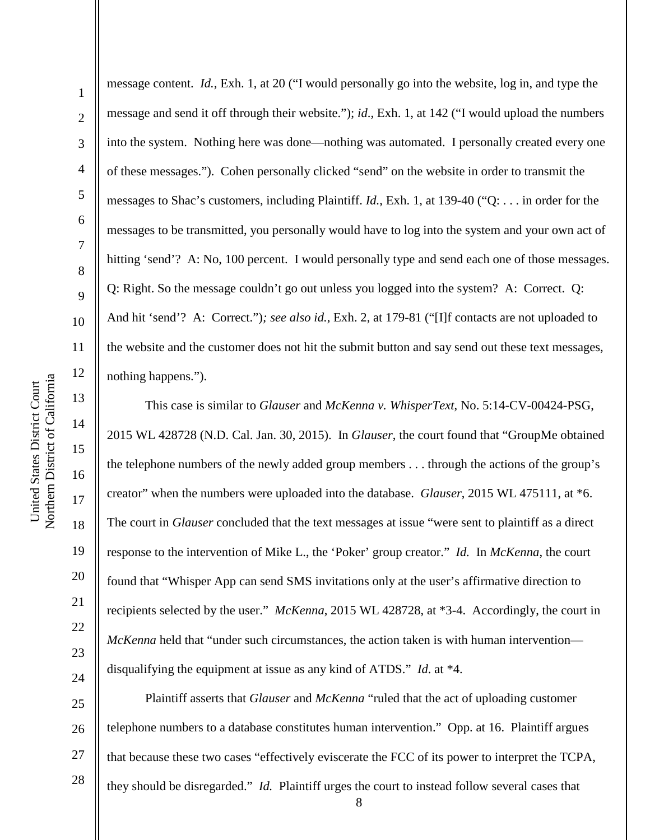2

3

4

5

6

7

8

9

10

11

12

13

14

15

16

17

18

19

20

21

22

23

24

message content. *Id.*, Exh. 1, at 20 ("I would personally go into the website, log in, and type the message and send it off through their website."); *id*., Exh. 1, at 142 ("I would upload the numbers into the system. Nothing here was done—nothing was automated. I personally created every one of these messages."). Cohen personally clicked "send" on the website in order to transmit the messages to Shac's customers, including Plaintiff. *Id.*, Exh. 1, at 139-40 ("Q: . . . in order for the messages to be transmitted, you personally would have to log into the system and your own act of hitting 'send'? A: No, 100 percent. I would personally type and send each one of those messages. Q: Right. So the message couldn't go out unless you logged into the system? A: Correct. Q: And hit 'send'? A: Correct.")*; see also id.*, Exh. 2, at 179-81 ("[I]f contacts are not uploaded to the website and the customer does not hit the submit button and say send out these text messages, nothing happens.").

This case is similar to *Glauser* and *McKenna v. WhisperText*, No. 5:14-CV-00424-PSG, 2015 WL 428728 (N.D. Cal. Jan. 30, 2015). In *Glauser*, the court found that "GroupMe obtained the telephone numbers of the newly added group members . . . through the actions of the group's creator" when the numbers were uploaded into the database. *Glauser*, 2015 WL 475111, at \*6. The court in *Glauser* concluded that the text messages at issue "were sent to plaintiff as a direct response to the intervention of Mike L., the 'Poker' group creator." *Id.* In *McKenna*, the court found that "Whisper App can send SMS invitations only at the user's affirmative direction to recipients selected by the user." *McKenna*, 2015 WL 428728, at \*3-4. Accordingly, the court in *McKenna* held that "under such circumstances, the action taken is with human intervention disqualifying the equipment at issue as any kind of ATDS." *Id*. at \*4.

25 26 27 28 Plaintiff asserts that *Glauser* and *McKenna* "ruled that the act of uploading customer telephone numbers to a database constitutes human intervention." Opp. at 16. Plaintiff argues that because these two cases "effectively eviscerate the FCC of its power to interpret the TCPA, they should be disregarded." *Id.* Plaintiff urges the court to instead follow several cases that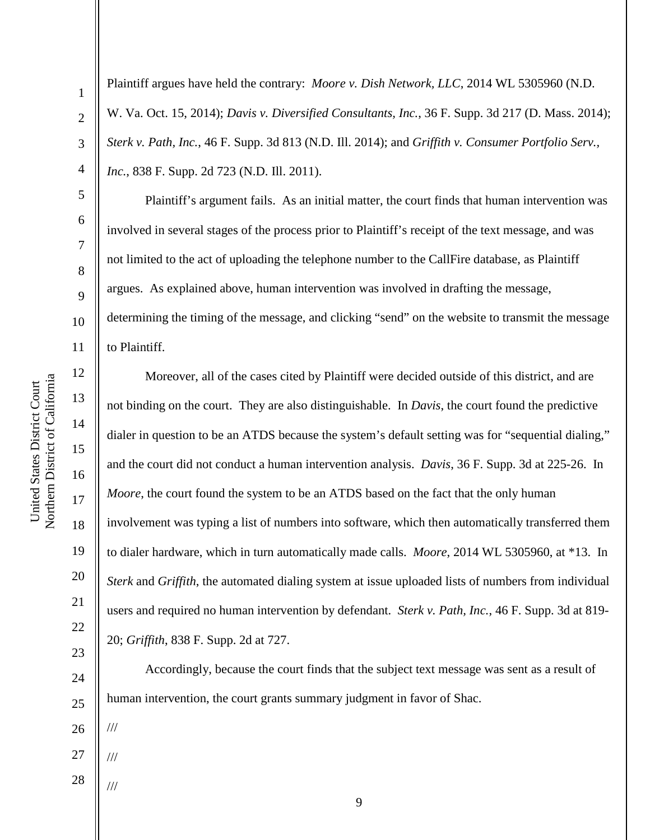2

3

4

5

6

7

8

9

10

11

12

13

14

15

16

17

18

19

20

21

22

23

24

25

Plaintiff argues have held the contrary: *Moore v. Dish Network, LLC*, 2014 WL 5305960 (N.D. W. Va. Oct. 15, 2014); *Davis v. Diversified Consultants, Inc.*, 36 F. Supp. 3d 217 (D. Mass. 2014); *Sterk v. Path, Inc.*, 46 F. Supp. 3d 813 (N.D. Ill. 2014); and *Griffith v. Consumer Portfolio Serv., Inc.*, 838 F. Supp. 2d 723 (N.D. Ill. 2011).

Plaintiff's argument fails. As an initial matter, the court finds that human intervention was involved in several stages of the process prior to Plaintiff's receipt of the text message, and was not limited to the act of uploading the telephone number to the CallFire database, as Plaintiff argues. As explained above, human intervention was involved in drafting the message, determining the timing of the message, and clicking "send" on the website to transmit the message to Plaintiff.

Moreover, all of the cases cited by Plaintiff were decided outside of this district, and are not binding on the court. They are also distinguishable. In *Davis*, the court found the predictive dialer in question to be an ATDS because the system's default setting was for "sequential dialing," and the court did not conduct a human intervention analysis. *Davis*, 36 F. Supp. 3d at 225-26. In *Moore*, the court found the system to be an ATDS based on the fact that the only human involvement was typing a list of numbers into software, which then automatically transferred them to dialer hardware, which in turn automatically made calls. *Moore*, 2014 WL 5305960, at \*13. In *Sterk* and *Griffith*, the automated dialing system at issue uploaded lists of numbers from individual users and required no human intervention by defendant. *Sterk v. Path, Inc.*, 46 F. Supp. 3d at 819- 20; *Griffith*, 838 F. Supp. 2d at 727.

Accordingly, because the court finds that the subject text message was sent as a result of human intervention, the court grants summary judgment in favor of Shac.

26

///

///

- 27 ///
- 28